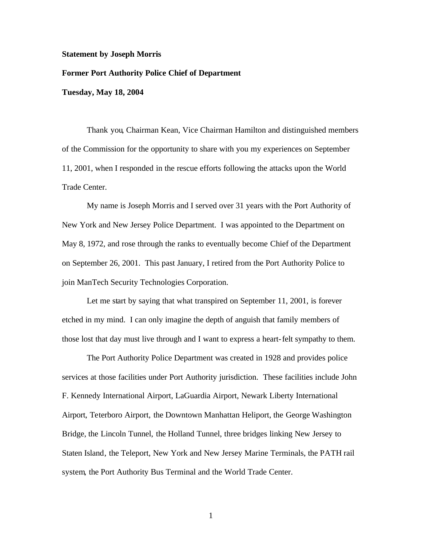## **Statement by Joseph Morris**

## **Former Port Authority Police Chief of Department**

**Tuesday, May 18, 2004**

Thank you, Chairman Kean, Vice Chairman Hamilton and distinguished members of the Commission for the opportunity to share with you my experiences on September 11, 2001, when I responded in the rescue efforts following the attacks upon the World Trade Center.

My name is Joseph Morris and I served over 31 years with the Port Authority of New York and New Jersey Police Department. I was appointed to the Department on May 8, 1972, and rose through the ranks to eventually become Chief of the Department on September 26, 2001. This past January, I retired from the Port Authority Police to join ManTech Security Technologies Corporation.

Let me start by saying that what transpired on September 11, 2001, is forever etched in my mind. I can only imagine the depth of anguish that family members of those lost that day must live through and I want to express a heart-felt sympathy to them.

The Port Authority Police Department was created in 1928 and provides police services at those facilities under Port Authority jurisdiction. These facilities include John F. Kennedy International Airport, LaGuardia Airport, Newark Liberty International Airport, Teterboro Airport, the Downtown Manhattan Heliport, the George Washington Bridge, the Lincoln Tunnel, the Holland Tunnel, three bridges linking New Jersey to Staten Island, the Teleport, New York and New Jersey Marine Terminals, the PATH rail system, the Port Authority Bus Terminal and the World Trade Center.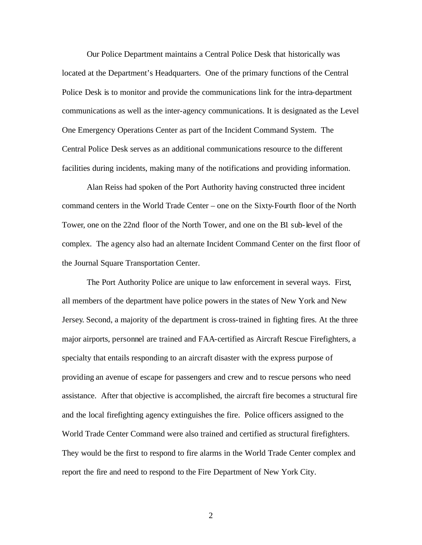Our Police Department maintains a Central Police Desk that historically was located at the Department's Headquarters. One of the primary functions of the Central Police Desk is to monitor and provide the communications link for the intra-department communications as well as the inter-agency communications. It is designated as the Level One Emergency Operations Center as part of the Incident Command System. The Central Police Desk serves as an additional communications resource to the different facilities during incidents, making many of the notifications and providing information.

Alan Reiss had spoken of the Port Authority having constructed three incident command centers in the World Trade Center – one on the Sixty-Fourth floor of the North Tower, one on the 22nd floor of the North Tower, and one on the B1 sub-level of the complex. The agency also had an alternate Incident Command Center on the first floor of the Journal Square Transportation Center.

The Port Authority Police are unique to law enforcement in several ways. First, all members of the department have police powers in the states of New York and New Jersey. Second, a majority of the department is cross-trained in fighting fires. At the three major airports, personnel are trained and FAA-certified as Aircraft Rescue Firefighters, a specialty that entails responding to an aircraft disaster with the express purpose of providing an avenue of escape for passengers and crew and to rescue persons who need assistance. After that objective is accomplished, the aircraft fire becomes a structural fire and the local firefighting agency extinguishes the fire. Police officers assigned to the World Trade Center Command were also trained and certified as structural firefighters. They would be the first to respond to fire alarms in the World Trade Center complex and report the fire and need to respond to the Fire Department of New York City.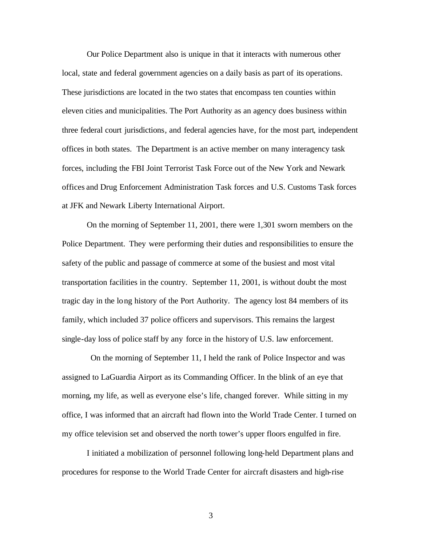Our Police Department also is unique in that it interacts with numerous other local, state and federal government agencies on a daily basis as part of its operations. These jurisdictions are located in the two states that encompass ten counties within eleven cities and municipalities. The Port Authority as an agency does business within three federal court jurisdictions, and federal agencies have, for the most part, independent offices in both states. The Department is an active member on many interagency task forces, including the FBI Joint Terrorist Task Force out of the New York and Newark offices and Drug Enforcement Administration Task forces and U.S. Customs Task forces at JFK and Newark Liberty International Airport.

On the morning of September 11, 2001, there were 1,301 sworn members on the Police Department. They were performing their duties and responsibilities to ensure the safety of the public and passage of commerce at some of the busiest and most vital transportation facilities in the country. September 11, 2001, is without doubt the most tragic day in the long history of the Port Authority. The agency lost 84 members of its family, which included 37 police officers and supervisors. This remains the largest single-day loss of police staff by any force in the history of U.S. law enforcement.

 On the morning of September 11, I held the rank of Police Inspector and was assigned to LaGuardia Airport as its Commanding Officer. In the blink of an eye that morning, my life, as well as everyone else's life, changed forever. While sitting in my office, I was informed that an aircraft had flown into the World Trade Center. I turned on my office television set and observed the north tower's upper floors engulfed in fire.

I initiated a mobilization of personnel following long-held Department plans and procedures for response to the World Trade Center for aircraft disasters and high-rise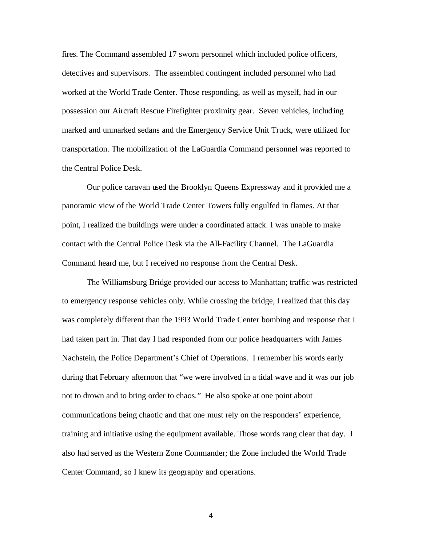fires. The Command assembled 17 sworn personnel which included police officers, detectives and supervisors. The assembled contingent included personnel who had worked at the World Trade Center. Those responding, as well as myself, had in our possession our Aircraft Rescue Firefighter proximity gear. Seven vehicles, including marked and unmarked sedans and the Emergency Service Unit Truck, were utilized for transportation. The mobilization of the LaGuardia Command personnel was reported to the Central Police Desk.

Our police caravan used the Brooklyn Queens Expressway and it provided me a panoramic view of the World Trade Center Towers fully engulfed in flames. At that point, I realized the buildings were under a coordinated attack. I was unable to make contact with the Central Police Desk via the All-Facility Channel. The LaGuardia Command heard me, but I received no response from the Central Desk.

The Williamsburg Bridge provided our access to Manhattan; traffic was restricted to emergency response vehicles only. While crossing the bridge, I realized that this day was completely different than the 1993 World Trade Center bombing and response that I had taken part in. That day I had responded from our police headquarters with James Nachstein, the Police Department's Chief of Operations. I remember his words early during that February afternoon that "we were involved in a tidal wave and it was our job not to drown and to bring order to chaos." He also spoke at one point about communications being chaotic and that one must rely on the responders' experience, training and initiative using the equipment available. Those words rang clear that day. I also had served as the Western Zone Commander; the Zone included the World Trade Center Command, so I knew its geography and operations.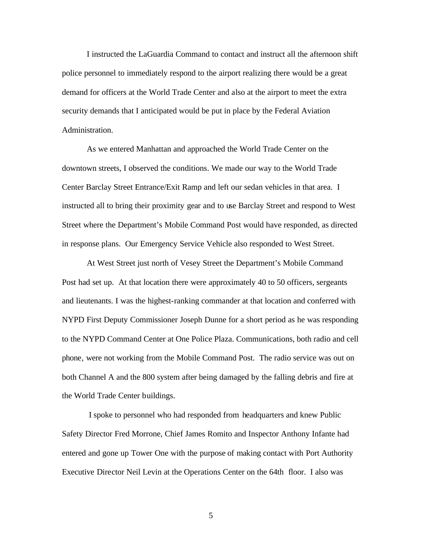I instructed the LaGuardia Command to contact and instruct all the afternoon shift police personnel to immediately respond to the airport realizing there would be a great demand for officers at the World Trade Center and also at the airport to meet the extra security demands that I anticipated would be put in place by the Federal Aviation Administration.

As we entered Manhattan and approached the World Trade Center on the downtown streets, I observed the conditions. We made our way to the World Trade Center Barclay Street Entrance/Exit Ramp and left our sedan vehicles in that area. I instructed all to bring their proximity gear and to use Barclay Street and respond to West Street where the Department's Mobile Command Post would have responded, as directed in response plans. Our Emergency Service Vehicle also responded to West Street.

At West Street just north of Vesey Street the Department's Mobile Command Post had set up. At that location there were approximately 40 to 50 officers, sergeants and lieutenants. I was the highest-ranking commander at that location and conferred with NYPD First Deputy Commissioner Joseph Dunne for a short period as he was responding to the NYPD Command Center at One Police Plaza. Communications, both radio and cell phone, were not working from the Mobile Command Post. The radio service was out on both Channel A and the 800 system after being damaged by the falling debris and fire at the World Trade Center buildings.

 I spoke to personnel who had responded from headquarters and knew Public Safety Director Fred Morrone, Chief James Romito and Inspector Anthony Infante had entered and gone up Tower One with the purpose of making contact with Port Authority Executive Director Neil Levin at the Operations Center on the 64th floor. I also was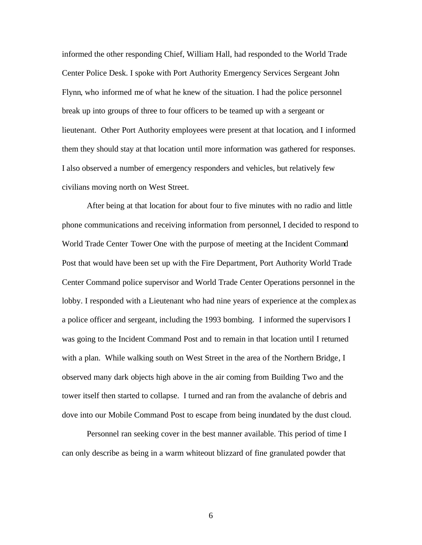informed the other responding Chief, William Hall, had responded to the World Trade Center Police Desk. I spoke with Port Authority Emergency Services Sergeant John Flynn, who informed me of what he knew of the situation. I had the police personnel break up into groups of three to four officers to be teamed up with a sergeant or lieutenant. Other Port Authority employees were present at that location, and I informed them they should stay at that location until more information was gathered for responses. I also observed a number of emergency responders and vehicles, but relatively few civilians moving north on West Street.

After being at that location for about four to five minutes with no radio and little phone communications and receiving information from personnel, I decided to respond to World Trade Center Tower One with the purpose of meeting at the Incident Command Post that would have been set up with the Fire Department, Port Authority World Trade Center Command police supervisor and World Trade Center Operations personnel in the lobby. I responded with a Lieutenant who had nine years of experience at the complex as a police officer and sergeant, including the 1993 bombing. I informed the supervisors I was going to the Incident Command Post and to remain in that location until I returned with a plan. While walking south on West Street in the area of the Northern Bridge, I observed many dark objects high above in the air coming from Building Two and the tower itself then started to collapse. I turned and ran from the avalanche of debris and dove into our Mobile Command Post to escape from being inundated by the dust cloud.

Personnel ran seeking cover in the best manner available. This period of time I can only describe as being in a warm whiteout blizzard of fine granulated powder that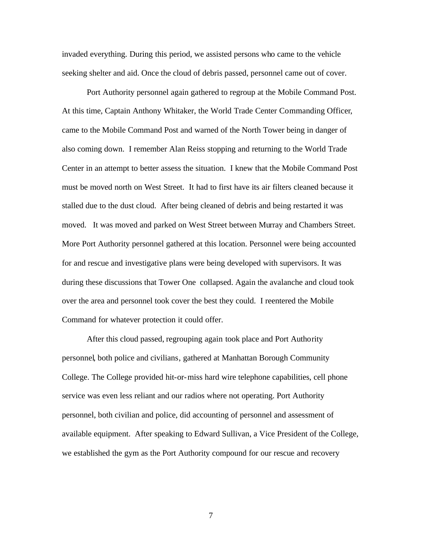invaded everything. During this period, we assisted persons who came to the vehicle seeking shelter and aid. Once the cloud of debris passed, personnel came out of cover.

Port Authority personnel again gathered to regroup at the Mobile Command Post. At this time, Captain Anthony Whitaker, the World Trade Center Commanding Officer, came to the Mobile Command Post and warned of the North Tower being in danger of also coming down. I remember Alan Reiss stopping and returning to the World Trade Center in an attempt to better assess the situation. I knew that the Mobile Command Post must be moved north on West Street. It had to first have its air filters cleaned because it stalled due to the dust cloud. After being cleaned of debris and being restarted it was moved. It was moved and parked on West Street between Murray and Chambers Street. More Port Authority personnel gathered at this location. Personnel were being accounted for and rescue and investigative plans were being developed with supervisors. It was during these discussions that Tower One collapsed. Again the avalanche and cloud took over the area and personnel took cover the best they could. I reentered the Mobile Command for whatever protection it could offer.

After this cloud passed, regrouping again took place and Port Authority personnel, both police and civilians, gathered at Manhattan Borough Community College. The College provided hit-or-miss hard wire telephone capabilities, cell phone service was even less reliant and our radios where not operating. Port Authority personnel, both civilian and police, did accounting of personnel and assessment of available equipment. After speaking to Edward Sullivan, a Vice President of the College, we established the gym as the Port Authority compound for our rescue and recovery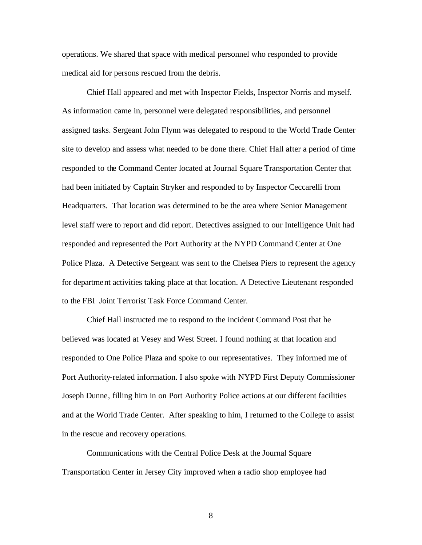operations. We shared that space with medical personnel who responded to provide medical aid for persons rescued from the debris.

Chief Hall appeared and met with Inspector Fields, Inspector Norris and myself. As information came in, personnel were delegated responsibilities, and personnel assigned tasks. Sergeant John Flynn was delegated to respond to the World Trade Center site to develop and assess what needed to be done there. Chief Hall after a period of time responded to the Command Center located at Journal Square Transportation Center that had been initiated by Captain Stryker and responded to by Inspector Ceccarelli from Headquarters. That location was determined to be the area where Senior Management level staff were to report and did report. Detectives assigned to our Intelligence Unit had responded and represented the Port Authority at the NYPD Command Center at One Police Plaza. A Detective Sergeant was sent to the Chelsea Piers to represent the agency for department activities taking place at that location. A Detective Lieutenant responded to the FBI Joint Terrorist Task Force Command Center.

Chief Hall instructed me to respond to the incident Command Post that he believed was located at Vesey and West Street. I found nothing at that location and responded to One Police Plaza and spoke to our representatives. They informed me of Port Authority-related information. I also spoke with NYPD First Deputy Commissioner Joseph Dunne, filling him in on Port Authority Police actions at our different facilities and at the World Trade Center. After speaking to him, I returned to the College to assist in the rescue and recovery operations.

Communications with the Central Police Desk at the Journal Square Transportation Center in Jersey City improved when a radio shop employee had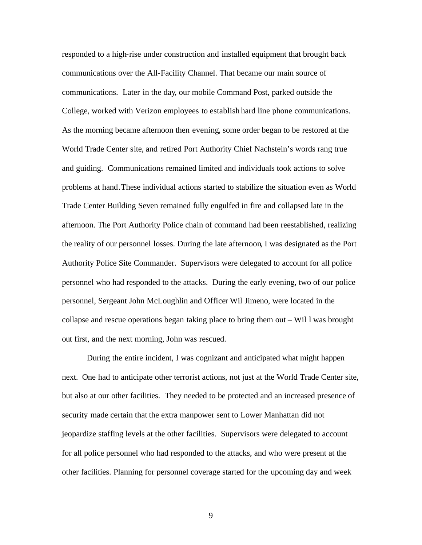responded to a high-rise under construction and installed equipment that brought back communications over the All-Facility Channel. That became our main source of communications. Later in the day, our mobile Command Post, parked outside the College, worked with Verizon employees to establish hard line phone communications. As the morning became afternoon then evening, some order began to be restored at the World Trade Center site, and retired Port Authority Chief Nachstein's words rang true and guiding. Communications remained limited and individuals took actions to solve problems at hand.These individual actions started to stabilize the situation even as World Trade Center Building Seven remained fully engulfed in fire and collapsed late in the afternoon. The Port Authority Police chain of command had been reestablished, realizing the reality of our personnel losses. During the late afternoon, I was designated as the Port Authority Police Site Commander. Supervisors were delegated to account for all police personnel who had responded to the attacks. During the early evening, two of our police personnel, Sergeant John McLoughlin and Officer Wil Jimeno, were located in the collapse and rescue operations began taking place to bring them out – Wil l was brought out first, and the next morning, John was rescued.

During the entire incident, I was cognizant and anticipated what might happen next. One had to anticipate other terrorist actions, not just at the World Trade Center site, but also at our other facilities. They needed to be protected and an increased presence of security made certain that the extra manpower sent to Lower Manhattan did not jeopardize staffing levels at the other facilities. Supervisors were delegated to account for all police personnel who had responded to the attacks, and who were present at the other facilities. Planning for personnel coverage started for the upcoming day and week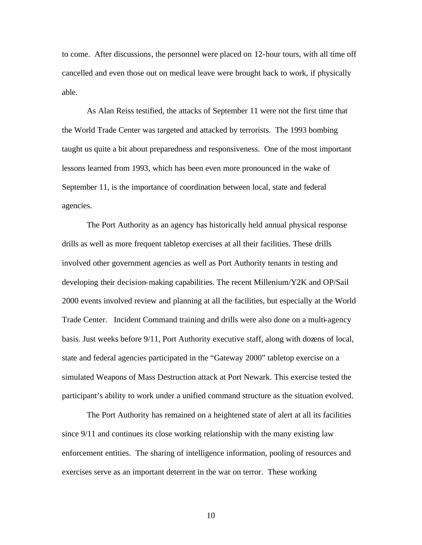to come. After discussions, the personnel were placed on 12-hour tours, with all time off cancelled and even those out on medical leave were brought back to work, if physically able.

As Alan Reiss testified, the attacks of September 11 were not the first time that the World Trade Center was targeted and attacked by terrorists. The 1993 bombing taught us quite a bit about preparedness and responsiveness. One of the most important lessons learned from 1993, which has been even more pronounced in the wake of September 11, is the importance of coordination between local, state and federal agencies.

The Port Authority as an agency has historically held annual physical response drills as well as more frequent tabletop exercises at all their facilities. These drills involved other government agencies as well as Port Authority tenants in testing and developing their decision-making capabilities. The recent Millenium/Y2K and OP/Sail 2000 events involved review and planning at all the facilities, but especially at the World Trade Center. Incident Command training and drills were also done on a multi-agency basis. Just weeks before 9/11, Port Authority executive staff, along with dozens of local, state and federal agencies participated in the "Gateway 2000" tabletop exercise on a simulated Weapons of Mass Destruction attack at Port Newark. This exercise tested the participant's ability to work under a unified command structure as the situation evolved.

The Port Authority has remained on a heightened state of alert at all its facilities since 9/11 and continues its close working relationship with the many existing law enforcement entities. The sharing of intelligence information, pooling of resources and exercises serve as an important deterrent in the war on terror. These working